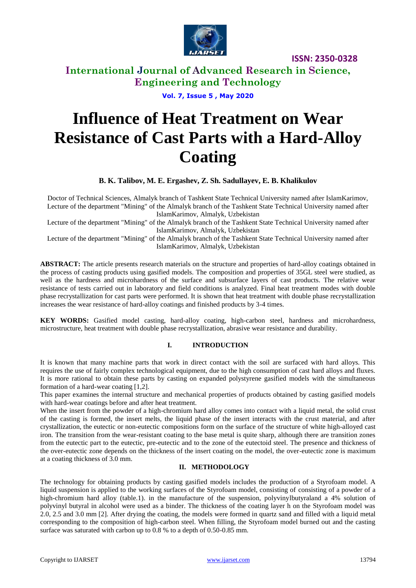

### **International Journal of Advanced Research in Science, Engineering and Technology**

**Vol. 7, Issue 5 , May 2020**

# **Influence of Heat Treatment on Wear Resistance of Cast Parts with a Hard-Alloy Coating**

**B. K. Talibov, M. E. Ergashev, Z. Sh. Sadullayev, E. B. Khalikulov**

Doctor of Technical Sciences, Almalyk branch of Tashkent State Technical University named after IslamKarimov, Lecture of the department "Mining" of the Almalyk branch of the Tashkent State Technical University named after IslamKarimov, Almalyk, Uzbekistan

Lecture of the department "Mining" of the Almalyk branch of the Tashkent State Technical University named after IslamKarimov, Almalyk, Uzbekistan

Lecture of the department "Mining" of the Almalyk branch of the Tashkent State Technical University named after IslamKarimov, Almalyk, Uzbekistan

**ABSTRACT:** The article presents research materials on the structure and properties of hard-alloy coatings obtained in the process of casting products using gasified models. The composition and properties of 35GL steel were studied, as well as the hardness and microhardness of the surface and subsurface layers of cast products. The relative wear resistance of tests carried out in laboratory and field conditions is analyzed. Final heat treatment modes with double phase recrystallization for cast parts were performed. It is shown that heat treatment with double phase recrystallization increases the wear resistance of hard-alloy coatings and finished products by 3-4 times.

**KEY WORDS:** Gasified model casting, hard-alloy coating, high-carbon steel, hardness and microhardness, microstructure, heat treatment with double phase recrystallization, abrasive wear resistance and durability*.*

### **I. INTRODUCTION**

It is known that many machine parts that work in direct contact with the soil are surfaced with hard alloys. This requires the use of fairly complex technological equipment, due to the high consumption of cast hard alloys and fluxes. It is more rational to obtain these parts by casting on expanded polystyrene gasified models with the simultaneous formation of a hard-wear coating [1,2].

This paper examines the internal structure and mechanical properties of products obtained by casting gasified models with hard-wear coatings before and after heat treatment.

When the insert from the powder of a high-chromium hard alloy comes into contact with a liquid metal, the solid crust of the casting is formed, the insert melts, the liquid phase of the insert interacts with the crust material, and after crystallization, the eutectic or non-eutectic compositions form on the surface of the structure of white high-alloyed cast iron. The transition from the wear-resistant coating to the base metal is quite sharp, although there are transition zones from the eutectic part to the eutectic, pre-eutectic and to the zone of the eutectoid steel. The presence and thickness of the over-eutectic zone depends on the thickness of the insert coating on the model, the over-eutectic zone is maximum at a coating thickness of 3.0 mm.

### **II. METHODOLOGY**

The technology for obtaining products by casting gasified models includes the production of a Styrofoam model. A liquid suspension is applied to the working surfaces of the Styrofoam model, consisting of consisting of a powder of a high-chromium hard alloy (table.1). in the manufacture of the suspension, polyvinylbutyraland a 4% solution of polyvinyl butyral in alcohol were used as a binder. The thickness of the coating layer h on the Styrofoam model was 2.0, 2.5 and 3.0 mm [2]. After drying the coating, the models were formed in quartz sand and filled with a liquid metal corresponding to the composition of high-carbon steel. When filling, the Styrofoam model burned out and the casting surface was saturated with carbon up to 0.8 % to a depth of 0.50-0.85 mm.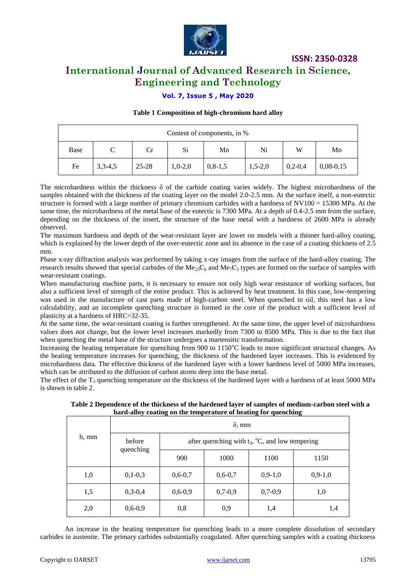

### **International Journal of Advanced Research in Science, Engineering and Technology**

### **Vol. 7, Issue 5 , May 2020**

### **Table 1 Composition of high-chromium hard alloy**

| Content of components, in % |           |           |           |               |           |           |             |
|-----------------------------|-----------|-----------|-----------|---------------|-----------|-----------|-------------|
| Base                        |           | Cr        | Si        | Mn            | Ni        | W         | Mo          |
| Fe                          | $3,3-4,5$ | $25 - 28$ | $1,0-2,0$ | $0, 8 - 1, 5$ | $1,5-2,0$ | $0,2-0,4$ | $0,08-0,15$ |

The microhardness within the thickness  $\delta$  of the carbide coating varies widely. The highest microhardness of the samples obtained with the thickness of the coating layer on the model 2.0-2.5 mm. At the surface itself, a non-eutectic structure is formed with a large number of primary chromium carbides with a hardness of NV100 = 15300 MPa. At the same time, the microhardness of the metal base of the eutectic is 7300 MPa. At a depth of 0.4-2.5 mm from the surface, depending on the thickness of the insert, the structure of the base metal with a hardness of 2600 MPa is already observed.

The maximum hardness and depth of the wear-resistant layer are lower on models with a thinner hard-alloy coating, which is explained by the lower depth of the over-eutectic zone and its absence in the case of a coating thickness of 2.5 mm.

Phase x-ray diffraction analysis was performed by taking x-ray images from the surface of the hard-alloy coating. The research results showed that special carbides of the Me<sub>23</sub>C<sub>6</sub> and Me<sub>7</sub>C<sub>3</sub> types are formed on the surface of samples with wear-resistant coatings.

When manufacturing machine parts, it is necessary to ensure not only high wear resistance of working surfaces, but also a sufficient level of strength of the entire product. This is achieved by heat treatment. In this case, low-tempering was used in the manufacture of cast parts made of high-carbon steel. When quenched in oil, this steel has a low calculability, and an incomplete quenching structure is formed in the core of the product with a sufficient level of plasticity at a hardness of HRC=32-35.

At the same time, the wear-resistant coating is further strengthened. At the same time, the upper level of microhardness values does not change, but the lower level increases markedly from 7300 to 8500 MPa. This is due to the fact that when quenching the metal base of the structure undergoes a martensitic transformation.

Increasing the heating temperature for quenching from 900 to  $1150^{\circ}$ C leads to more significant structural changes. As the heating temperature increases for quenching, the thickness of the hardened layer increases. This is evidenced by microhardness data. The effective thickness of the hardened layer with a lower hardness level of 5000 MPa increases, which can be attributed to the diffusion of carbon atoms deep into the base metal.

The effect of the  $T_3$  quenching temperature on the thickness of the hardened layer with a hardness of at least 5000 MPa is shown in table 2.

| Table 2 Dependence of the thickness of the hardened layer of samples of medium-carbon steel with a |  |
|----------------------------------------------------------------------------------------------------|--|
| hard-alloy coating on the temperature of heating for quenching                                     |  |
|                                                                                                    |  |

|       | $\delta$ , mm       |                                                               |           |           |           |  |
|-------|---------------------|---------------------------------------------------------------|-----------|-----------|-----------|--|
| h, mm | before<br>quenching | after quenching with $t_3$ , $\mathrm{C}$ , and low tempering |           |           |           |  |
|       |                     | 900                                                           | 1000      | 1100      | 1150      |  |
| 1,0   | $0,1-0,3$           | $0,6-0,7$                                                     | $0,6-0,7$ | $0,9-1,0$ | $0,9-1,0$ |  |
| 1,5   | $0,3-0,4$           | $0,6-0,9$                                                     | $0,7-0,9$ | $0,7-0,9$ | 1,0       |  |
| 2,0   | $0,6-0,9$           | 0,8                                                           | 0,9       | 1,4       | 1,4       |  |

An increase in the heating temperature for quenching leads to a more complete dissolution of secondary carbides in austenite. The primary carbides substantially coagulated. After quenching samples with a coating thickness

 $\blacksquare$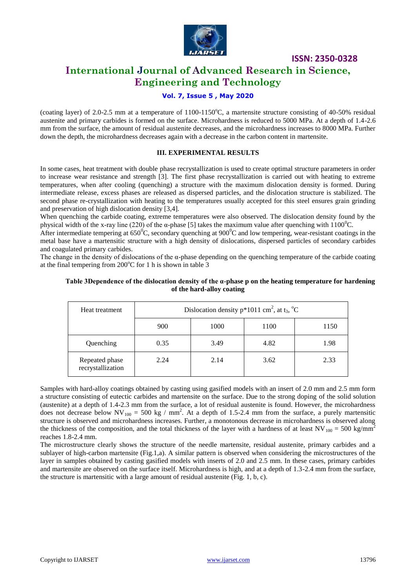

### **International Journal of Advanced Research in Science, Engineering and Technology**

### **Vol. 7, Issue 5 , May 2020**

(coating layer) of 2.0-2.5 mm at a temperature of  $1100-1150^{\circ}$ C, a martensite structure consisting of 40-50% residual austenite and primary carbides is formed on the surface. Microhardness is reduced to 5000 MPa. At a depth of 1.4-2.6 mm from the surface, the amount of residual austenite decreases, and the microhardness increases to 8000 MPa. Further down the depth, the microhardness decreases again with a decrease in the carbon content in martensite.

### **III. EXPERIMENTAL RESULTS**

In some cases, heat treatment with double phase recrystallization is used to create optimal structure parameters in order to increase wear resistance and strength [3]. The first phase recrystallization is carried out with heating to extreme temperatures, when after cooling (quenching) a structure with the maximum dislocation density is formed. During intermediate release, excess phases are released as dispersed particles, and the dislocation structure is stabilized. The second phase re-crystallization with heating to the temperatures usually accepted for this steel ensures grain grinding and preservation of high dislocation density [3,4].

When quenching the carbide coating, extreme temperatures were also observed. The dislocation density found by the physical width of the x-ray line (220) of the α-phase [5] takes the maximum value after quenching with  $1100^{\circ}$ C.

After intermediate tempering at  $650^{\circ}$ C, secondary quenching at  $900^{\circ}$ C and low tempering, wear-resistant coatings in the metal base have a martensitic structure with a high density of dislocations, dispersed particles of secondary carbides and coagulated primary carbides.

The change in the density of dislocations of the  $\alpha$ -phase depending on the quenching temperature of the carbide coating at the final tempering from  $200^{\circ}$ C for 1 h is shown in table 3

### **Table 3Dependence of the dislocation density of the α-phase p on the heating temperature for hardening of the hard-alloy coating**

| Heat treatment                      | Dislocation density $p*1011$ cm <sup>2</sup> , at t <sub>3</sub> , <sup>o</sup> C |      |      |      |
|-------------------------------------|-----------------------------------------------------------------------------------|------|------|------|
|                                     | 900                                                                               | 1000 | 1100 | 1150 |
| Quenching                           | 0.35                                                                              | 3.49 | 4.82 | 1.98 |
| Repeated phase<br>recrystallization | 2.24                                                                              | 2.14 | 3.62 | 2.33 |

Samples with hard-alloy coatings obtained by casting using gasified models with an insert of 2.0 mm and 2.5 mm form a structure consisting of eutectic carbides and martensite on the surface. Due to the strong doping of the solid solution (austenite) at a depth of 1.4-2.3 mm from the surface, a lot of residual austenite is found. However, the microhardness does not decrease below  $NV_{100} = 500$  kg / mm<sup>2</sup>. At a depth of 1.5-2.4 mm from the surface, a purely martensitic structure is observed and microhardness increases. Further, a monotonous decrease in microhardness is observed along the thickness of the composition, and the total thickness of the layer with a hardness of at least  $NV_{100} = 500$  kg/mm<sup>2</sup> reaches 1.8-2.4 mm.

The microstructure clearly shows the structure of the needle martensite, residual austenite, primary carbides and a sublayer of high-carbon martensite (Fig.1,a). A similar pattern is observed when considering the microstructures of the layer in samples obtained by casting gasified models with inserts of 2.0 and 2.5 mm. In these cases, primary carbides and martensite are observed on the surface itself. Microhardness is high, and at a depth of 1.3-2.4 mm from the surface, the structure is martensitic with a large amount of residual austenite (Fig. 1, b, c).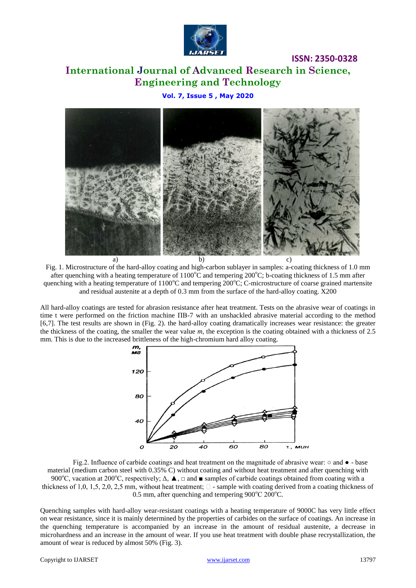

# **International Journal of Advanced Research in Science, Engineering and Technology**

**ISSN: 2350-0328**

**Vol. 7, Issue 5 , May 2020**



Fig. 1. Microstructure of the hard-alloy coating and high-carbon sublayer in samples: a-coating thickness of 1.0 mm after quenching with a heating temperature of  $1100^{\circ}$ C and tempering  $200^{\circ}$ C; b-coating thickness of 1.5 mm after quenching with a heating temperature of  $1100^{\circ}$ C and tempering  $200^{\circ}$ C; C-microstructure of coarse grained martensite and residual austenite at a depth of 0.3 mm from the surface of the hard-alloy coating. X200

All hard-alloy coatings are tested for abrasion resistance after heat treatment. Tests on the abrasive wear of coatings in time t were performed on the friction machine ПВ-7 with an unshackled abrasive material according to the method [6,7]. The test results are shown in (Fig. 2). the hard-alloy coating dramatically increases wear resistance: the greater the thickness of the coating, the smaller the wear value *m*, the exception is the coating obtained with a thickness of 2.5 mm. This is due to the increased brittleness of the high-chromium hard alloy coating.



Fig.2. Influence of carbide coatings and heat treatment on the magnitude of abrasive wear: ○ and ● - base material (medium carbon steel with 0.35% C) without coating and without heat treatment and after quenching with 900°C, vacation at 200°C, respectively;  $\Delta$ ,  $\blacktriangle$ ,  $\Box$  and  $\blacktriangle$  samples of carbide coatings obtained from coating with a thickness of 1,0, 1,5, 2,0, 2,5 mm, without heat treatment;  $\Box$  - sample with coating derived from a coating thickness of 0.5 mm, after quenching and tempering  $900^{\circ}$ C  $200^{\circ}$ C.

Quenching samples with hard-alloy wear-resistant coatings with a heating temperature of 9000C has very little effect on wear resistance, since it is mainly determined by the properties of carbides on the surface of coatings. An increase in the quenching temperature is accompanied by an increase in the amount of residual austenite, a decrease in microhardness and an increase in the amount of wear. If you use heat treatment with double phase recrystallization, the amount of wear is reduced by almost 50% (Fig. 3).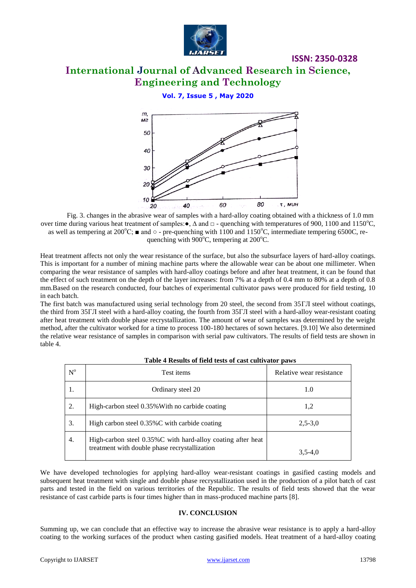

# **International Journal of Advanced Research in Science, Engineering and Technology**

**ISSN: 2350-0328**

### **Vol. 7, Issue 5 , May 2020**



Fig. 3. changes in the abrasive wear of samples with a hard-alloy coating obtained with a thickness of 1.0 mm over time during various heat treatment of samples: •,  $\Delta$  and  $\Box$  - quenching with temperatures of 900, 1100 and 1150°C, as well as tempering at 200 $^{\circ}$ C;  $\blacksquare$  and  $\circ$  - pre-quenching with 1100 and 1150 $^{\circ}$ C, intermediate tempering 6500C, requenching with 900 $^{\circ}$ C, tempering at 200 $^{\circ}$ C.

Heat treatment affects not only the wear resistance of the surface, but also the subsurface layers of hard-alloy coatings. This is important for a number of mining machine parts where the allowable wear can be about one millimeter. When comparing the wear resistance of samples with hard-alloy coatings before and after heat treatment, it can be found that the effect of such treatment on the depth of the layer increases: from 7% at a depth of 0.4 mm to 80% at a depth of 0.8 mm.Based on the research conducted, four batches of experimental cultivator paws were produced for field testing, 10 in each batch.

The first batch was manufactured using serial technology from 20 steel, the second from 35ГЛ steel without coatings, the third from 35ГЛ steel with a hard-alloy coating, the fourth from 35ГЛ steel with a hard-alloy wear-resistant coating after heat treatment with double phase recrystallization. The amount of wear of samples was determined by the weight method, after the cultivator worked for a time to process 100-180 hectares of sown hectares. [9.10] We also determined the relative wear resistance of samples in comparison with serial paw cultivators. The results of field tests are shown in table 4.

| $\mathrm{N}^{\mathrm{o}}$ | Test items                                                                                                   | Relative wear resistance |
|---------------------------|--------------------------------------------------------------------------------------------------------------|--------------------------|
|                           | Ordinary steel 20                                                                                            | 1.0                      |
| 2.                        | High-carbon steel 0.35% With no carbide coating                                                              | 1,2                      |
| 3.                        | High carbon steel 0.35%C with carbide coating                                                                | $2,5-3,0$                |
| 4.                        | High-carbon steel 0.35%C with hard-alloy coating after heat<br>treatment with double phase recrystallization | $3.5 - 4.0$              |

#### **Table 4 Results of field tests of cast cultivator paws**

We have developed technologies for applying hard-alloy wear-resistant coatings in gasified casting models and subsequent heat treatment with single and double phase recrystallization used in the production of a pilot batch of cast parts and tested in the field on various territories of the Republic. The results of field tests showed that the wear resistance of cast carbide parts is four times higher than in mass-produced machine parts [8].

#### **IV. CONCLUSION**

Summing up, we can conclude that an effective way to increase the abrasive wear resistance is to apply a hard-alloy coating to the working surfaces of the product when casting gasified models. Heat treatment of a hard-alloy coating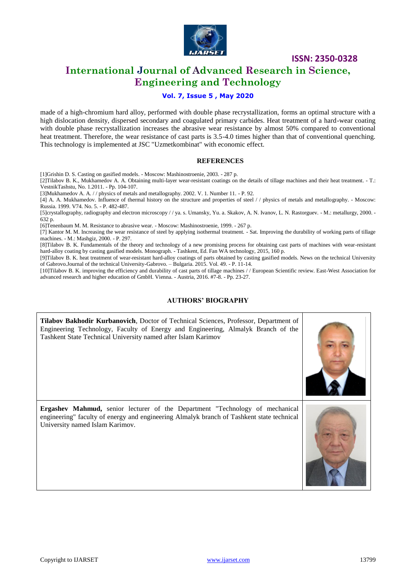

## **International Journal of Advanced Research in Science, Engineering and Technology**

### **Vol. 7, Issue 5 , May 2020**

made of a high-chromium hard alloy, performed with double phase recrystallization, forms an optimal structure with a high dislocation density, dispersed secondary and coagulated primary carbides. Heat treatment of a hard-wear coating with double phase recrystallization increases the abrasive wear resistance by almost 50% compared to conventional heat treatment. Therefore, the wear resistance of cast parts is 3.5-4.0 times higher than that of conventional quenching. This technology is implemented at JSC "Uzmetkombinat" with economic effect.

#### **REFERENCES**

[1]Grishin D. S. Casting on gasified models. - Moscow: Mashinostroenie, 2003. - 287 p.

[2]Tilabov B. K., Mukhamedov A. A. Obtaining multi-layer wear-resistant coatings on the details of tillage machines and their heat treatment. - T.: VestnikTashstu, No. 1.2011. - Pp. 104-107.

[3]Mukhamedov A. A. / / physics of metals and metallography. 2002. V. 1. Number 11. - P. 92.

[4] A. A. Mukhamedov. Influence of thermal history on the structure and properties of steel / / physics of metals and metallography. - Moscow: Russia. 1999. V74. No. 5. - P. 482-487.

[5]crystallography, radiography and electron microscopy / / ya. s. Umansky, Yu. a. Skakov, A. N. Ivanov, L. N. Rastorguev. - M.: metallurgy, 2000. - 632 p.

[6]Tenenbaum M. M. Resistance to abrasive wear. - Moscow: Mashinostroenie, 1999. - 267 p.

[7] Kantor M. M. Increasing the wear resistance of steel by applying isothermal treatment. - Sat. Improving the durability of working parts of tillage machines. - M.: Mashgiz, 2000. - P. 297.

[8]Tilabov B. K. Fundamentals of the theory and technology of a new promising process for obtaining cast parts of machines with wear-resistant hard-alloy coating by casting gasified models. Monograph. - Tashkent, Ed. Fan WA technology, 2015, 160 p.

[9]Tilabov B. K. heat treatment of wear-resistant hard-alloy coatings of parts obtained by casting gasified models. News on the technical University of Gabrovo.Journal of the technical University-Gabrovo. – Bulgaria. 2015. Vol. 49. - P. 11-14.

[10]Tilabov B. K. improving the efficiency and durability of cast parts of tillage machines / / European Scientific review. East-West Association for advanced research and higher education of GmbH. Vienna. - Austria, 2016. #7-8. - Pp. 23-27.

### **AUTHORS' BIOGRAPHY**

**Tilabov Bakhodir Kurbanovich**, Doctor of Technical Sciences, Professor, Department of Engineering Technology, Faculty of Energy and Engineering, Almalyk Branch of the Tashkent State Technical University named after Islam Karimov **Ergashev Mahmud,** senior lecturer of the Department "Technology of mechanical engineering" faculty of energy and engineering Almalyk branch of Tashkent state technical University named Islam Karimov.